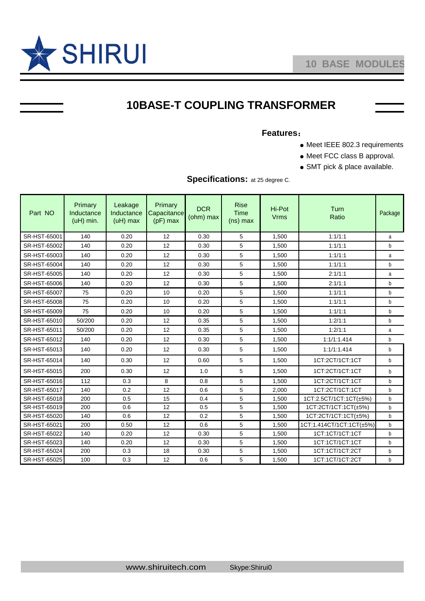

## **10BASE-T COUPLING TRANSFORMER**

## **Features**:

- Meet IEEE 802.3 requirements
- Meet FCC class B approval.
- SMT pick & place available.



| Part NO      | Primary<br>Inductance<br>(uH) min. | Leakage<br>Inductance<br>$(uH)$ max | Primary<br>Capacitance<br>$(pF)$ max | <b>DCR</b><br>(ohm) max | <b>Rise</b><br><b>Time</b><br>$(ns)$ max | Hi-Pot<br><b>Vrms</b> | Turn<br>Ratio            | Package      |
|--------------|------------------------------------|-------------------------------------|--------------------------------------|-------------------------|------------------------------------------|-----------------------|--------------------------|--------------|
| SR-HST-65001 | 140                                | 0.20                                | 12                                   | 0.30                    | 5                                        | 1,500                 | 1:1/1:1                  | a            |
| SR-HST-65002 | 140                                | 0.20                                | 12                                   | 0.30                    | 5                                        | 1,500                 | 1:1/1:1                  | b            |
| SR-HST-65003 | 140                                | 0.20                                | 12                                   | 0.30                    | 5                                        | 1,500                 | 1:1/1:1                  | a            |
| SR-HST-65004 | 140                                | 0.20                                | 12                                   | 0.30                    | 5                                        | 1,500                 | 1:1/1:1                  | b            |
| SR-HST-65005 | 140                                | 0.20                                | 12                                   | 0.30                    | 5                                        | 1,500                 | 2:1/1:1                  | a            |
| SR-HST-65006 | 140                                | 0.20                                | 12                                   | 0.30                    | 5                                        | 1,500                 | 2:1/1:1                  | b            |
| SR-HST-65007 | 75                                 | 0.20                                | 10                                   | 0.20                    | 5                                        | 1,500                 | 1:1/1:1                  | b            |
| SR-HST-65008 | 75                                 | 0.20                                | 10                                   | 0.20                    | 5                                        | 1,500                 | 1:1/1:1                  | b            |
| SR-HST-65009 | 75                                 | 0.20                                | 10                                   | 0.20                    | 5                                        | 1,500                 | 1:1/1:1                  | b            |
| SR-HST-65010 | 50/200                             | 0.20                                | 12                                   | 0.35                    | 5                                        | 1,500                 | 1:2/1:1                  | b            |
| SR-HST-65011 | 50/200                             | 0.20                                | 12                                   | 0.35                    | 5                                        | 1,500                 | 1:2/1:1                  | a            |
| SR-HST-65012 | 140                                | 0.20                                | 12                                   | 0.30                    | 5                                        | 1,500                 | 1:1/1:1.414              | b            |
| SR-HST-65013 | 140                                | 0.20                                | 12                                   | 0.30                    | 5                                        | 1,500                 | 1:1/1:1.414              | $\mathsf{b}$ |
| SR-HST-65014 | 140                                | 0.30                                | 12                                   | 0.60                    | 5                                        | 1,500                 | 1CT:2CT/1CT:1CT          | $\mathsf{b}$ |
| SR-HST-65015 | 200                                | 0.30                                | 12                                   | 1.0                     | 5                                        | 1,500                 | 1CT:2CT/1CT:1CT          | b            |
| SR-HST-65016 | 112                                | 0.3                                 | 8                                    | 0.8                     | 5                                        | 1,500                 | 1CT:2CT/1CT:1CT          | b            |
| SR-HST-65017 | 140                                | 0.2                                 | 12                                   | 0.6                     | 5                                        | 2,000                 | 1CT:2CT/1CT:1CT          | b            |
| SR-HST-65018 | 200                                | 0.5                                 | 15                                   | 0.4                     | 5                                        | 1,500                 | 1CT:2.5CT/1CT:1CT(±5%)   | b            |
| SR-HST-65019 | 200                                | 0.6                                 | 12                                   | 0.5                     | 5                                        | 1,500                 | 1CT:2CT/1CT:1CT(±5%)     | b            |
| SR-HST-65020 | 140                                | 0.6                                 | 12                                   | 0.2                     | 5                                        | 1,500                 | 1CT:2CT/1CT:1CT(±5%)     | b            |
| SR-HST-65021 | 200                                | 0.50                                | 12                                   | 0.6                     | 5                                        | 1,500                 | 1CT:1.414CT/1CT:1CT(±5%) | b            |
| SR-HST-65022 | 140                                | 0.20                                | 12                                   | 0.30                    | 5                                        | 1,500                 | 1CT:1CT/1CT:1CT          | b            |
| SR-HST-65023 | 140                                | 0.20                                | 12                                   | 0.30                    | 5                                        | 1,500                 | 1CT:1CT/1CT:1CT          | b            |
| SR-HST-65024 | 200                                | 0.3                                 | 18                                   | 0.30                    | 5                                        | 1,500                 | 1CT:1CT/1CT:2CT          | b            |
| SR-HST-65025 | 100                                | 0.3                                 | 12                                   | 0.6                     | 5                                        | 1,500                 | 1CT:1CT/1CT:2CT          | b            |

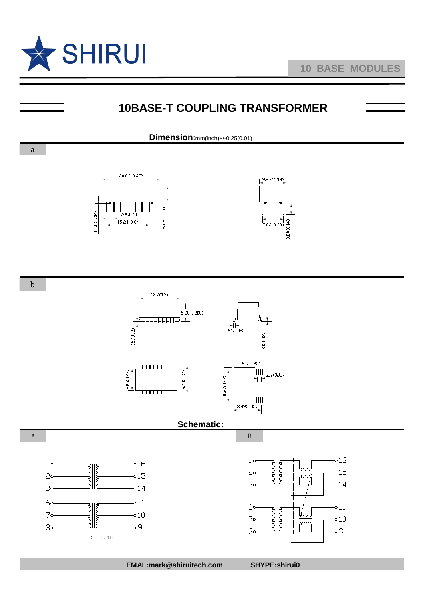

a

## **10BASE-T COUPLING TRANSFORMER**

**Dimension**:mm(inch)+/-0.25(0.01)





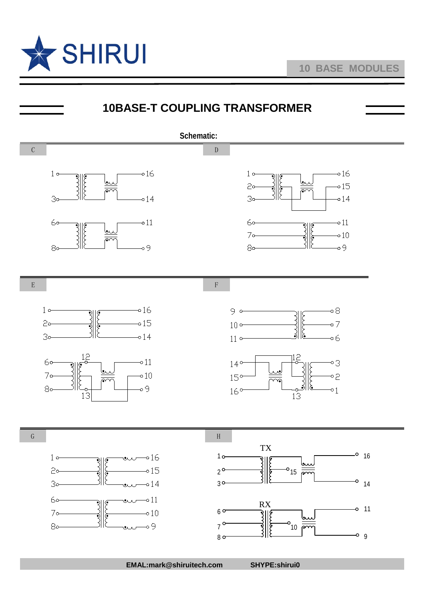



 **EMAL:mark@shiruitech.com SHYPE:shirui0**